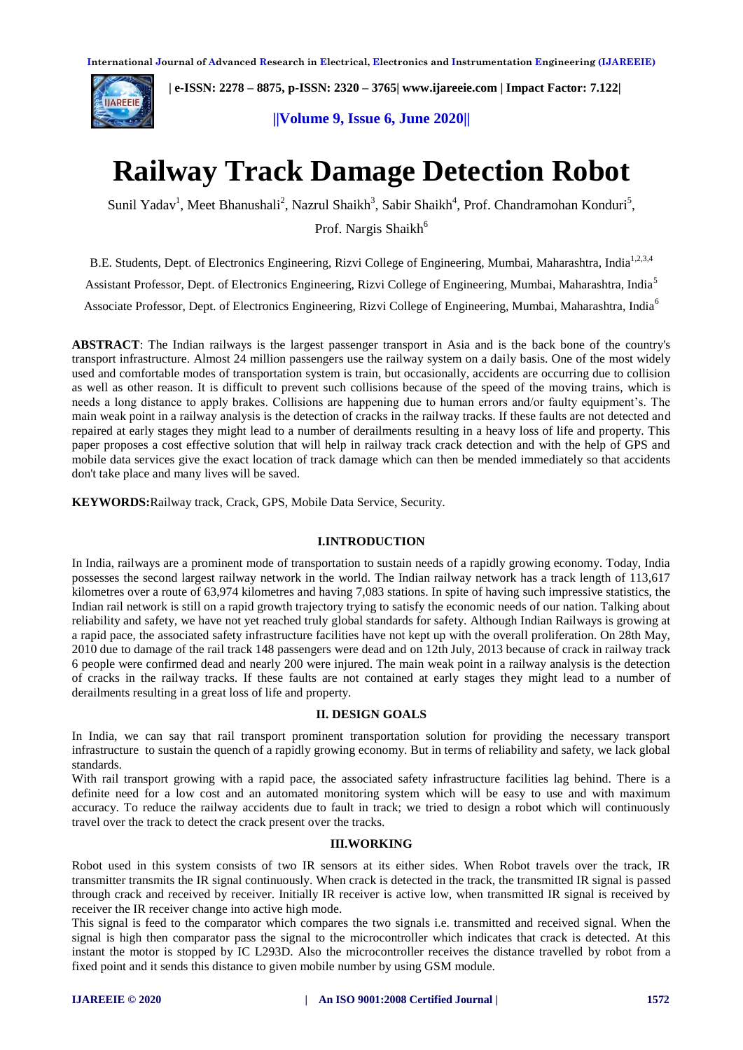

 **| e-ISSN: 2278 – 8875, p-ISSN: 2320 – 3765[| www.ijareeie.com](http://www.ijareeie.com/) | Impact Factor: 7.122|** 

**||Volume 9, Issue 6, June 2020||** 

# **Railway Track Damage Detection Robot**

Sunil Yadav<sup>1</sup>, Meet Bhanushali<sup>2</sup>, Nazrul Shaikh<sup>3</sup>, Sabir Shaikh<sup>4</sup>, Prof. Chandramohan Konduri<sup>5</sup>,

Prof. Nargis Shaikh<sup>6</sup>

B.E. Students, Dept. of Electronics Engineering, Rizvi College of Engineering, Mumbai, Maharashtra, India<sup>1,2,3,4</sup>

Assistant Professor, Dept. of Electronics Engineering, Rizvi College of Engineering, Mumbai, Maharashtra, India<sup>5</sup>

Associate Professor, Dept. of Electronics Engineering, Rizvi College of Engineering, Mumbai, Maharashtra, India<sup>6</sup>

**ABSTRACT**: The Indian railways is the largest passenger transport in Asia and is the back bone of the country's transport infrastructure. Almost 24 million passengers use the railway system on a daily basis. One of the most widely used and comfortable modes of transportation system is train, but occasionally, accidents are occurring due to collision as well as other reason. It is difficult to prevent such collisions because of the speed of the moving trains, which is needs a long distance to apply brakes. Collisions are happening due to human errors and/or faulty equipment's. The main weak point in a railway analysis is the detection of cracks in the railway tracks. If these faults are not detected and repaired at early stages they might lead to a number of derailments resulting in a heavy loss of life and property. This paper proposes a cost effective solution that will help in railway track crack detection and with the help of GPS and mobile data services give the exact location of track damage which can then be mended immediately so that accidents don't take place and many lives will be saved.

**KEYWORDS:**Railway track, Crack, GPS, Mobile Data Service, Security.

#### **I.INTRODUCTION**

In India, railways are a prominent mode of transportation to sustain needs of a rapidly growing economy. Today, India possesses the second largest railway network in the world. The Indian railway network has a track length of 113,617 kilometres over a route of 63,974 kilometres and having 7,083 stations. In spite of having such impressive statistics, the Indian rail network is still on a rapid growth trajectory trying to satisfy the economic needs of our nation. Talking about reliability and safety, we have not yet reached truly global standards for safety. Although Indian Railways is growing at a rapid pace, the associated safety infrastructure facilities have not kept up with the overall proliferation. On 28th May, 2010 due to damage of the rail track 148 passengers were dead and on 12th July, 2013 because of crack in railway track 6 people were confirmed dead and nearly 200 were injured. The main weak point in a railway analysis is the detection of cracks in the railway tracks. If these faults are not contained at early stages they might lead to a number of derailments resulting in a great loss of life and property.

#### **II. DESIGN GOALS**

In India, we can say that rail transport prominent transportation solution for providing the necessary transport infrastructure to sustain the quench of a rapidly growing economy. But in terms of reliability and safety, we lack global standards.

With rail transport growing with a rapid pace, the associated safety infrastructure facilities lag behind. There is a definite need for a low cost and an automated monitoring system which will be easy to use and with maximum accuracy. To reduce the railway accidents due to fault in track; we tried to design a robot which will continuously travel over the track to detect the crack present over the tracks.

#### **III.WORKING**

Robot used in this system consists of two IR sensors at its either sides. When Robot travels over the track, IR transmitter transmits the IR signal continuously. When crack is detected in the track, the transmitted IR signal is passed through crack and received by receiver. Initially IR receiver is active low, when transmitted IR signal is received by receiver the IR receiver change into active high mode.

This signal is feed to the comparator which compares the two signals i.e. transmitted and received signal. When the signal is high then comparator pass the signal to the microcontroller which indicates that crack is detected. At this instant the motor is stopped by IC L293D. Also the microcontroller receives the distance travelled by robot from a fixed point and it sends this distance to given mobile number by using GSM module.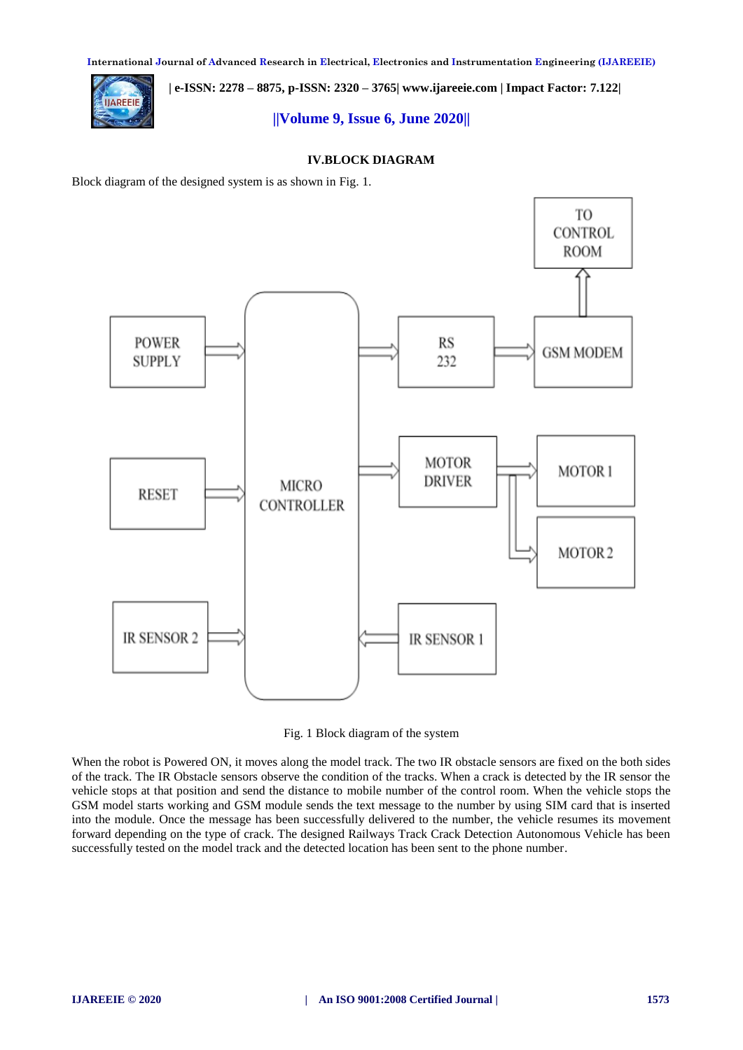**International Journal of Advanced Research in Electrical, Electronics and Instrumentation Engineering (IJAREEIE)** 

**IIAREEIE** 

 **| e-ISSN: 2278 – 8875, p-ISSN: 2320 – 3765[| www.ijareeie.com](http://www.ijareeie.com/) | Impact Factor: 7.122|** 

# **||Volume 9, Issue 6, June 2020||**

## **IV.BLOCK DIAGRAM**

Block diagram of the designed system is as shown in Fig. 1.



Fig. 1 Block diagram of the system

When the robot is Powered ON, it moves along the model track. The two IR obstacle sensors are fixed on the both sides of the track. The IR Obstacle sensors observe the condition of the tracks. When a crack is detected by the IR sensor the vehicle stops at that position and send the distance to mobile number of the control room. When the vehicle stops the GSM model starts working and GSM module sends the text message to the number by using SIM card that is inserted into the module. Once the message has been successfully delivered to the number, the vehicle resumes its movement forward depending on the type of crack. The designed Railways Track Crack Detection Autonomous Vehicle has been successfully tested on the model track and the detected location has been sent to the phone number.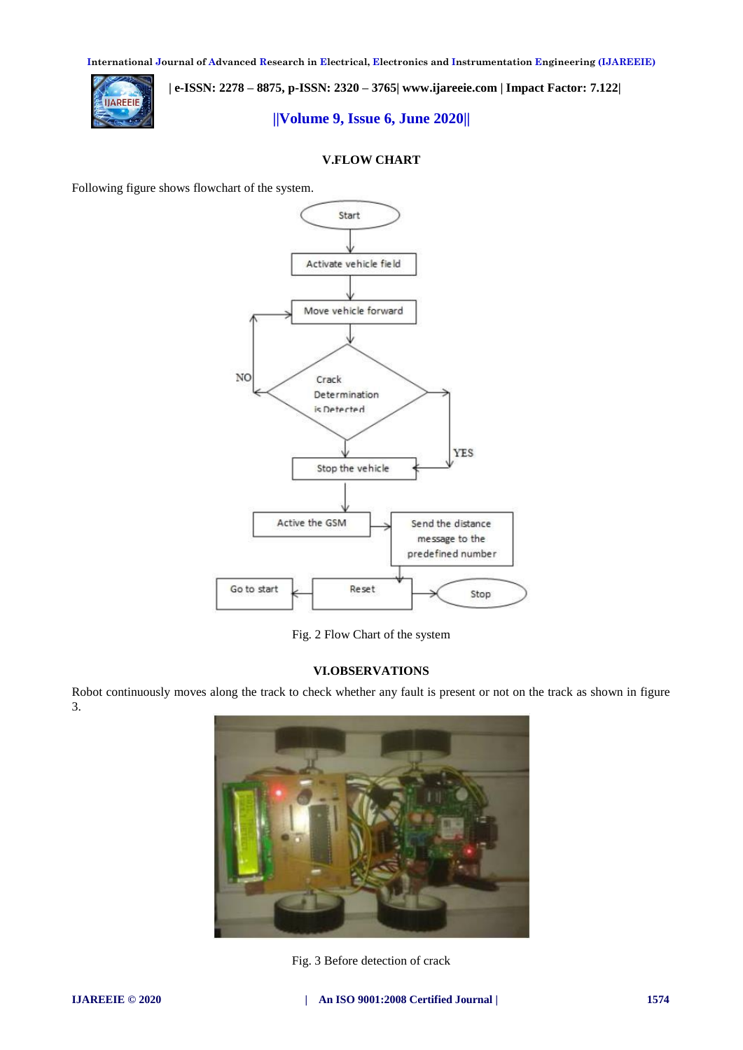**International Journal of Advanced Research in Electrical, Electronics and Instrumentation Engineering (IJAREEIE)** 



 **| e-ISSN: 2278 – 8875, p-ISSN: 2320 – 3765[| www.ijareeie.com](http://www.ijareeie.com/) | Impact Factor: 7.122|** 

**||Volume 9, Issue 6, June 2020||** 

## **V.FLOW CHART**

Following figure shows flowchart of the system.



Fig. 2 Flow Chart of the system

## **VI.OBSERVATIONS**

Robot continuously moves along the track to check whether any fault is present or not on the track as shown in figure 3.



Fig. 3 Before detection of crack